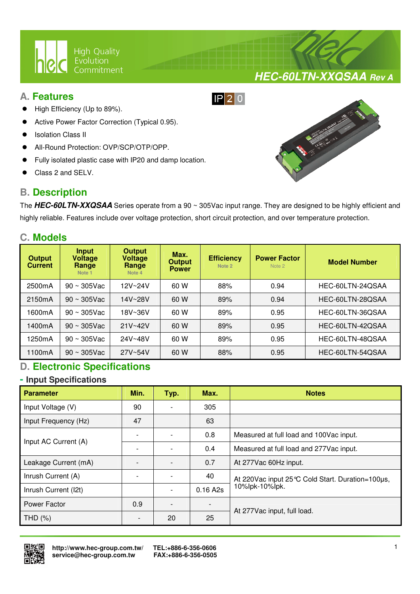

## **A. Features**

- High Efficiency (Up to 89%).
- Active Power Factor Correction (Typical 0.95).
- Isolation Class II
- All-Round Protection: OVP/SCP/OTP/OPP.
- Fully isolated plastic case with IP20 and damp location.

 $\overline{a}$ 

Class 2 and SELV.

# **B. Description**



**HEC-60LTN-XXQSAA Rev A**

The **HEC-60LTN-XXQSAA** Series operate from a 90 ~ 305Vac input range. They are designed to be highly efficient and highly reliable. Features include over voltage protection, short circuit protection, and over temperature protection.

 $IP$  20

## **C. Models**

| <b>Output</b><br><b>Current</b> | Input<br><b>Voltage</b><br>Range<br>Note <sub>1</sub> | <b>Output</b><br><b>Voltage</b><br>Range<br>Note 4 | Max.<br><b>Output</b><br><b>Power</b> | <b>Efficiency</b><br>Note 2 | <b>Power Factor</b><br>Note 2 | <b>Model Number</b> |
|---------------------------------|-------------------------------------------------------|----------------------------------------------------|---------------------------------------|-----------------------------|-------------------------------|---------------------|
| 2500mA                          | $90 \sim 305$ Vac                                     | 12V~24V                                            | 60 W                                  | 88%                         | 0.94                          | HEC-60LTN-24QSAA    |
| 2150mA                          | $90 \sim 305$ Vac                                     | 14V~28V                                            | 60 W                                  | 89%                         | 0.94                          | HEC-60LTN-28QSAA    |
| 1600mA                          | $90 \sim 305$ Vac                                     | 18V~36V                                            | 60 W                                  | 89%                         | 0.95                          | HEC-60LTN-36QSAA    |
| 1400mA                          | $90 \sim 305$ Vac                                     | $21V - 42V$                                        | 60 W                                  | 89%                         | 0.95                          | HEC-60LTN-42QSAA    |
| 1250mA                          | $90 \sim 305$ Vac                                     | 24V~48V                                            | 60 W                                  | 89%                         | 0.95                          | HEC-60LTN-48QSAA    |
| 1100mA                          | $90 \sim 305$ Vac                                     | 27V~54V                                            | 60 W                                  | 88%                         | 0.95                          | HEC-60LTN-54QSAA    |

# **D. Electronic Specifications**

### **- Input Specifications**

| <b>Parameter</b>     | Min. | Typ. | Max.     | <b>Notes</b>                                        |  |
|----------------------|------|------|----------|-----------------------------------------------------|--|
| Input Voltage (V)    | 90   |      | 305      |                                                     |  |
| Input Frequency (Hz) | 47   |      | 63       |                                                     |  |
| Input AC Current (A) |      |      | 0.8      | Measured at full load and 100Vac input.             |  |
|                      |      |      | 0.4      | Measured at full load and 277Vac input.             |  |
| Leakage Current (mA) |      |      | 0.7      | At 277Vac 60Hz input.                               |  |
| Inrush Current (A)   |      |      | 40       | At 220 Vac input 25 °C Cold Start. Duration=100 µs, |  |
| Inrush Current (I2t) |      |      | 0.16 A2s | 10%lpk-10%lpk.                                      |  |
| Power Factor         | 0.9  |      |          |                                                     |  |
| THD $(%)$            |      | 20   | 25       | At 277 Vac input, full load.                        |  |

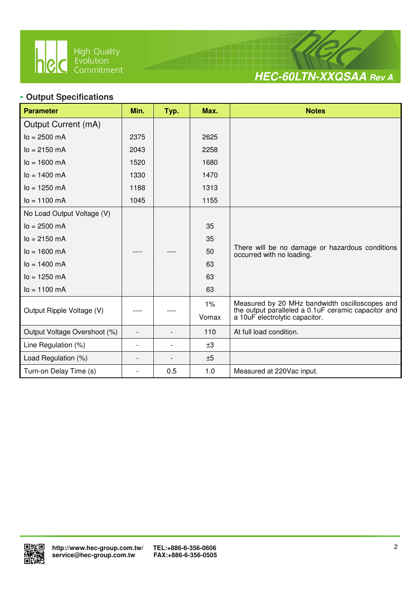

 $\overline{a}$ 



## **- Output Specifications**

| <b>Parameter</b>             | Min.           | Typ. | Max.  | <b>Notes</b>                                                                          |
|------------------------------|----------------|------|-------|---------------------------------------------------------------------------------------|
| Output Current (mA)          |                |      |       |                                                                                       |
| $lo = 2500$ mA               | 2375           |      | 2625  |                                                                                       |
| $lo = 2150 mA$               | 2043           |      | 2258  |                                                                                       |
| $I_0 = 1600 \text{ mA}$      | 1520           |      | 1680  |                                                                                       |
| $I_0 = 1400$ mA              | 1330           |      | 1470  |                                                                                       |
| $I_0 = 1250$ mA              | 1188           |      | 1313  |                                                                                       |
| $I_0 = 1100 \text{ mA}$      | 1045           |      | 1155  |                                                                                       |
| No Load Output Voltage (V)   |                |      |       |                                                                                       |
| $lo = 2500$ mA               |                |      | 35    |                                                                                       |
| $lo = 2150 mA$               |                |      | 35    |                                                                                       |
| $I_0 = 1600 \text{ mA}$      |                |      | 50    | There will be no damage or hazardous conditions<br>occurred with no loading.          |
| $lo = 1400$ mA               |                |      | 63    |                                                                                       |
| $lo = 1250 mA$               |                |      | 63    |                                                                                       |
| $Io = 1100$ mA               |                |      | 63    |                                                                                       |
|                              |                |      | $1\%$ | Measured by 20 MHz bandwidth oscilloscopes and                                        |
| Output Ripple Voltage (V)    |                |      | Vomax | the output paralleled a 0.1uF ceramic capacitor and<br>a 10uF electrolytic capacitor. |
| Output Voltage Overshoot (%) |                |      | 110   | At full load condition.                                                               |
| Line Regulation (%)          | $\overline{a}$ |      | ±3    |                                                                                       |
| Load Regulation (%)          | $\overline{a}$ |      | ±5    |                                                                                       |
| Turn-on Delay Time (s)       | $\overline{a}$ | 0.5  | 1.0   | Measured at 220Vac input.                                                             |

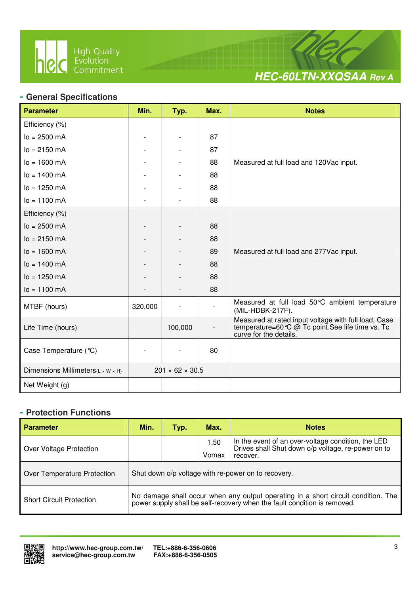

 $\overline{a}$ 



## **- General Specifications**

| <b>Parameter</b>                                | Min.    | Typ.                        | Max. | <b>Notes</b>                                                                                                                      |
|-------------------------------------------------|---------|-----------------------------|------|-----------------------------------------------------------------------------------------------------------------------------------|
| Efficiency (%)                                  |         |                             |      |                                                                                                                                   |
| $lo = 2500$ mA                                  |         |                             | 87   |                                                                                                                                   |
| $lo = 2150 mA$                                  |         |                             | 87   |                                                                                                                                   |
| $lo = 1600 mA$                                  |         |                             | 88   | Measured at full load and 120Vac input.                                                                                           |
| $lo = 1400$ mA                                  |         |                             | 88   |                                                                                                                                   |
| $lo = 1250 mA$                                  |         |                             | 88   |                                                                                                                                   |
| $lo = 1100 mA$                                  |         |                             | 88   |                                                                                                                                   |
| Efficiency (%)                                  |         |                             |      |                                                                                                                                   |
| $lo = 2500$ mA                                  |         |                             | 88   |                                                                                                                                   |
| $lo = 2150 mA$                                  |         |                             | 88   |                                                                                                                                   |
| $lo = 1600 mA$                                  |         |                             | 89   | Measured at full load and 277Vac input.                                                                                           |
| $lo = 1400$ mA                                  |         |                             | 88   |                                                                                                                                   |
| $lo = 1250 mA$                                  |         |                             | 88   |                                                                                                                                   |
| $lo = 1100 mA$                                  |         |                             | 88   |                                                                                                                                   |
| MTBF (hours)                                    | 320,000 |                             |      | Measured at full load 50°C ambient temperature<br>(MIL-HDBK-217F).                                                                |
| Life Time (hours)                               |         | 100,000                     |      | Measured at rated input voltage with full load, Case<br>temperature=60℃ @ Tc point.See life time vs. Tc<br>curve for the details. |
| Case Temperature (°C)                           |         |                             | 80   |                                                                                                                                   |
| Dimensions Millimeters( $L \times W \times H$ ) |         | $201 \times 62 \times 30.5$ |      |                                                                                                                                   |
| Net Weight (g)                                  |         |                             |      |                                                                                                                                   |

## **- Protection Functions**

| <b>Parameter</b>                | Min.                                                                                                                                                          | Typ. | Max.          | <b>Notes</b>                                                                                                         |  |  |
|---------------------------------|---------------------------------------------------------------------------------------------------------------------------------------------------------------|------|---------------|----------------------------------------------------------------------------------------------------------------------|--|--|
| Over Voltage Protection         |                                                                                                                                                               |      | 1.50<br>Vomax | In the event of an over-voltage condition, the LED<br>Drives shall Shut down o/p voltage, re-power on to<br>recover. |  |  |
| Over Temperature Protection     | Shut down o/p voltage with re-power on to recovery.                                                                                                           |      |               |                                                                                                                      |  |  |
| <b>Short Circuit Protection</b> | No damage shall occur when any output operating in a short circuit condition. The<br>power supply shall be self-recovery when the fault condition is removed. |      |               |                                                                                                                      |  |  |

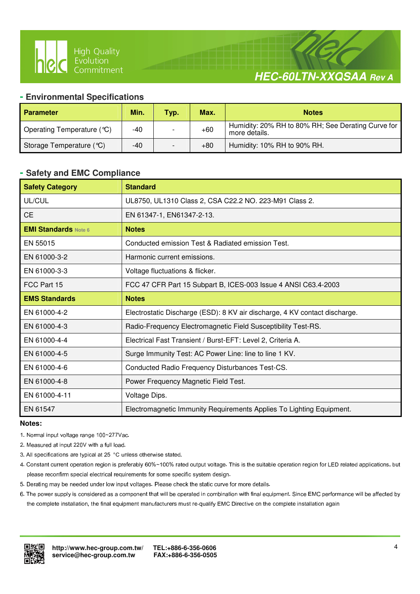

# **HEC-60LTN-XXQSAA Rev A**

### **- Environmental Specifications**

 $\overline{a}$ 

| <b>Parameter</b>           | Min. | Typ. | Max.  | <b>Notes</b>                                                        |
|----------------------------|------|------|-------|---------------------------------------------------------------------|
| Operating Temperature (°C) | -40  |      | $+60$ | Humidity: 20% RH to 80% RH; See Derating Curve for<br>more details. |
| Storage Temperature (°C)   | -40  |      | +80   | Humidity: 10% RH to 90% RH.                                         |

#### **- Safety and EMC Compliance**

| <b>Safety Category</b>      | <b>Standard</b>                                                            |
|-----------------------------|----------------------------------------------------------------------------|
| UL/CUL                      | UL8750, UL1310 Class 2, CSA C22.2 NO. 223-M91 Class 2.                     |
| <b>CE</b>                   | EN 61347-1, EN61347-2-13.                                                  |
| <b>EMI Standards Note 6</b> | <b>Notes</b>                                                               |
| EN 55015                    | Conducted emission Test & Radiated emission Test.                          |
| EN 61000-3-2                | Harmonic current emissions.                                                |
| EN 61000-3-3                | Voltage fluctuations & flicker.                                            |
| FCC Part 15                 | FCC 47 CFR Part 15 Subpart B, ICES-003 Issue 4 ANSI C63.4-2003             |
| <b>EMS Standards</b>        | <b>Notes</b>                                                               |
| EN 61000-4-2                | Electrostatic Discharge (ESD): 8 KV air discharge, 4 KV contact discharge. |
| EN 61000-4-3                | Radio-Frequency Electromagnetic Field Susceptibility Test-RS.              |
| EN 61000-4-4                | Electrical Fast Transient / Burst-EFT: Level 2, Criteria A.                |
| EN 61000-4-5                | Surge Immunity Test: AC Power Line: line to line 1 KV.                     |
| EN 61000-4-6                | Conducted Radio Frequency Disturbances Test-CS.                            |
| EN 61000-4-8                | Power Frequency Magnetic Field Test.                                       |
| EN 61000-4-11               | Voltage Dips.                                                              |
| EN 61547                    | Electromagnetic Immunity Requirements Applies To Lighting Equipment.       |

#### **Notes:**

- 1. Normal input voltage range 100~277Vac.
- 2. Measured at input 220V with a full load.
- 3. All specifications are typical at 25 °C unless otherwise stated.
- 4. Constant current operation region is preferably 60%~100% rated output voltage. This is the suitable operation region for LED related applications, but please reconfirm special electrical requirements for some specific system design.
- 5. Derating may be needed under low input voltages. Please check the static curve for more details.
- 6. The power supply is considered as a component that will be operated in combination with final equipment. Since EMC performance will be affected by the complete installation, the final equipment manufacturers must re-qualify EMC Directive on the complete installation again

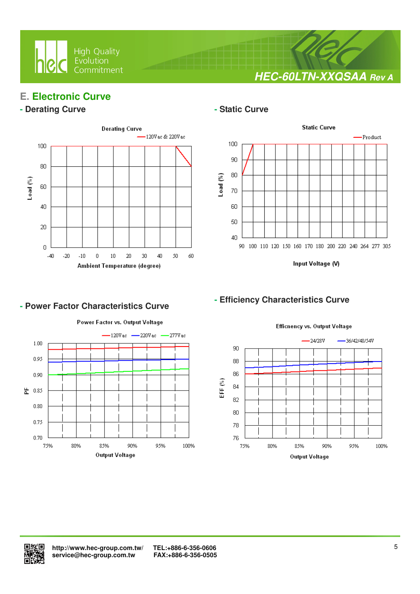

**HEC-60LTN-XXQSAA Rev A**

# **E. Electronic Curve**

## **- Derating Curve**  $\qquad$  **- Static Curve**



 $\overline{a}$ 



Input Voltage (V)

## **- Efficiency Characteristics Curve**



**- Power Factor Characteristics Curve** 

Efficnency vs. Output Voltage

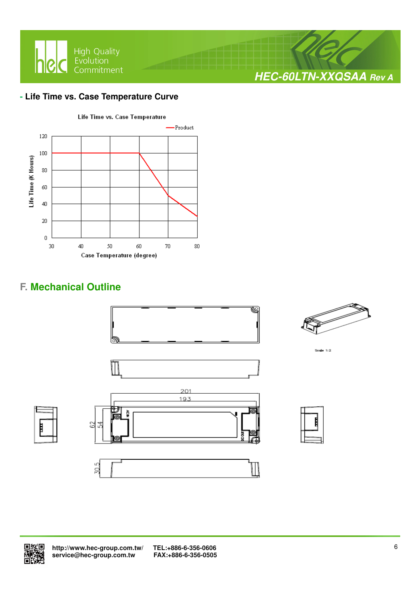

## **- Life Time vs. Case Temperature Curve**



# **F. Mechanical Outline**





 **http://www.hec-group.com.tw/ TEL:+886-6-356-0606**  service@hec-group.com.tw